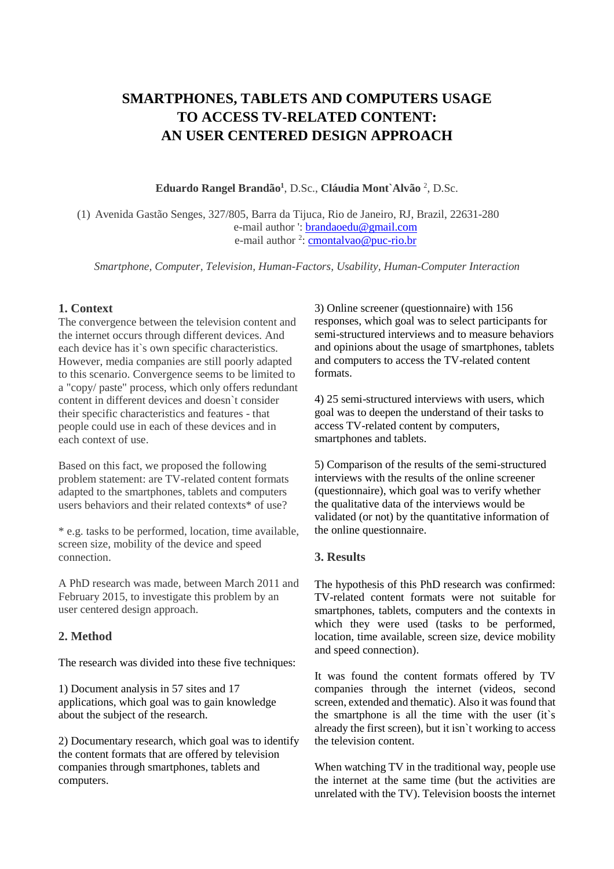# **SMARTPHONES, TABLETS AND COMPUTERS USAGE TO ACCESS TV-RELATED CONTENT: AN USER CENTERED DESIGN APPROACH**

**Eduardo Rangel Brandão<sup>1</sup>** , D.Sc., **Cláudia Mont`Alvão** <sup>2</sup> , D.Sc.

(1) Avenida Gastão Senges, 327/805, Barra da Tijuca, Rio de Janeiro, RJ, Brazil, 22631-280 e-mail author ': **brandaoedu@gmail.com** e-mail author <sup>2</sup>: <u>cmontalvao@puc-rio.br</u>

*Smartphone, Computer, Television, Human-Factors, Usability, Human-Computer Interaction*

## **1. Context**

The convergence between the television content and the internet occurs through different devices. And each device has it`s own specific characteristics. However, media companies are still poorly adapted to this scenario. Convergence seems to be limited to a "copy/ paste" process, which only offers redundant content in different devices and doesn`t consider their specific characteristics and features - that people could use in each of these devices and in each context of use.

Based on this fact, we proposed the following problem statement: are TV-related content formats adapted to the smartphones, tablets and computers users behaviors and their related contexts\* of use?

\* e.g. tasks to be performed, location, time available, screen size, mobility of the device and speed connection.

A PhD research was made, between March 2011 and February 2015, to investigate this problem by an user centered design approach.

## **2. Method**

The research was divided into these five techniques:

1) Document analysis in 57 sites and 17 applications, which goal was to gain knowledge about the subject of the research.

2) Documentary research, which goal was to identify the content formats that are offered by television companies through smartphones, tablets and computers.

3) Online screener (questionnaire) with 156 responses, which goal was to select participants for semi-structured interviews and to measure behaviors and opinions about the usage of smartphones, tablets and computers to access the TV-related content formats.

4) 25 semi-structured interviews with users, which goal was to deepen the understand of their tasks to access TV-related content by computers, smartphones and tablets.

5) Comparison of the results of the semi-structured interviews with the results of the online screener (questionnaire), which goal was to verify whether the qualitative data of the interviews would be validated (or not) by the quantitative information of the online questionnaire.

#### **3. Results**

The hypothesis of this PhD research was confirmed: TV-related content formats were not suitable for smartphones, tablets, computers and the contexts in which they were used (tasks to be performed, location, time available, screen size, device mobility and speed connection).

It was found the content formats offered by TV companies through the internet (videos, second screen, extended and thematic). Also it was found that the smartphone is all the time with the user (it`s already the first screen), but it isn`t working to access the television content.

When watching TV in the traditional way, people use the internet at the same time (but the activities are unrelated with the TV). Television boosts the internet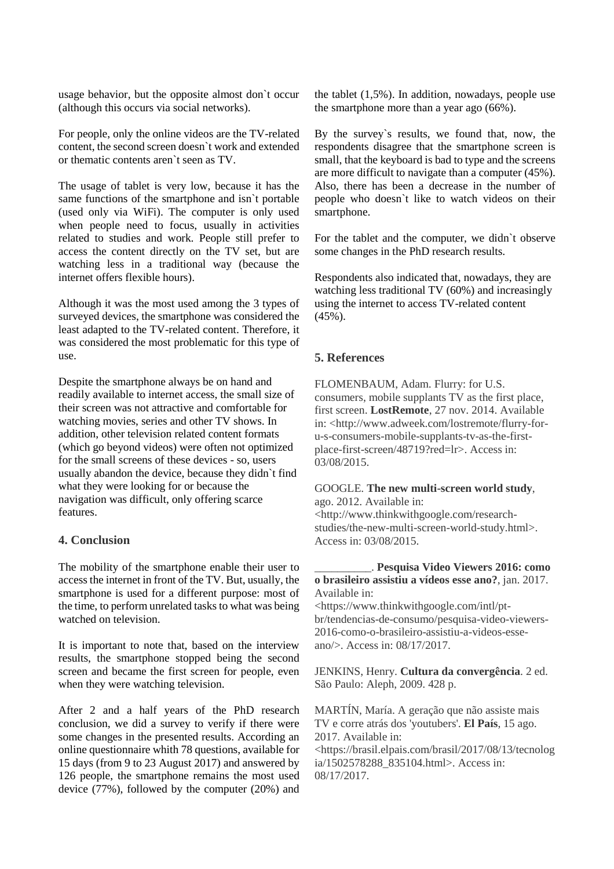usage behavior, but the opposite almost don`t occur (although this occurs via social networks).

For people, only the online videos are the TV-related content, the second screen doesn`t work and extended or thematic contents aren`t seen as TV.

The usage of tablet is very low, because it has the same functions of the smartphone and isn`t portable (used only via WiFi). The computer is only used when people need to focus, usually in activities related to studies and work. People still prefer to access the content directly on the TV set, but are watching less in a traditional way (because the internet offers flexible hours).

Although it was the most used among the 3 types of surveyed devices, the smartphone was considered the least adapted to the TV-related content. Therefore, it was considered the most problematic for this type of use.

Despite the smartphone always be on hand and readily available to internet access, the small size of their screen was not attractive and comfortable for watching movies, series and other TV shows. In addition, other television related content formats (which go beyond videos) were often not optimized for the small screens of these devices - so, users usually abandon the device, because they didn`t find what they were looking for or because the navigation was difficult, only offering scarce features.

### **4. Conclusion**

The mobility of the smartphone enable their user to access the internet in front of the TV. But, usually, the smartphone is used for a different purpose: most of the time, to perform unrelated tasks to what was being watched on television.

It is important to note that, based on the interview results, the smartphone stopped being the second screen and became the first screen for people, even when they were watching television.

After 2 and a half years of the PhD research conclusion, we did a survey to verify if there were some changes in the presented results. According an online questionnaire whith 78 questions, available for 15 days (from 9 to 23 August 2017) and answered by 126 people, the smartphone remains the most used device (77%), followed by the computer (20%) and the tablet (1,5%). In addition, nowadays, people use the smartphone more than a year ago (66%).

By the survey`s results, we found that, now, the respondents disagree that the smartphone screen is small, that the keyboard is bad to type and the screens are more difficult to navigate than a computer (45%). Also, there has been a decrease in the number of people who doesn`t like to watch videos on their smartphone.

For the tablet and the computer, we didn`t observe some changes in the PhD research results.

Respondents also indicated that, nowadays, they are watching less traditional TV (60%) and increasingly using the internet to access TV-related content (45%).

#### **5. References**

FLOMENBAUM, Adam. Flurry: for U.S. consumers, mobile supplants TV as the first place, first screen. **LostRemote**, 27 nov. 2014. Available in: <http://www.adweek.com/lostremote/flurry-foru-s-consumers-mobile-supplants-tv-as-the-firstplace-first-screen/48719?red=lr>. Access in: 03/08/2015.

#### GOOGLE. **The new multi-screen world study**, ago. 2012. Available in:

<http://www.thinkwithgoogle.com/researchstudies/the-new-multi-screen-world-study.html>. Access in: 03/08/2015.

#### \_\_\_\_\_\_\_\_\_\_. **Pesquisa Video Viewers 2016: como o brasileiro assistiu a vídeos esse ano?**, jan. 2017. Available in:

<https://www.thinkwithgoogle.com/intl/ptbr/tendencias-de-consumo/pesquisa-video-viewers-2016-como-o-brasileiro-assistiu-a-videos-esseano/>. Access in: 08/17/2017.

JENKINS, Henry. **Cultura da convergência**. 2 ed. São Paulo: Aleph, 2009. 428 p.

MARTÍN, María. A geração que não assiste mais TV e corre atrás dos 'youtubers'. **El País**, 15 ago. 2017. Available in: <https://brasil.elpais.com/brasil/2017/08/13/tecnolog ia/1502578288\_835104.html>. Access in: 08/17/2017.